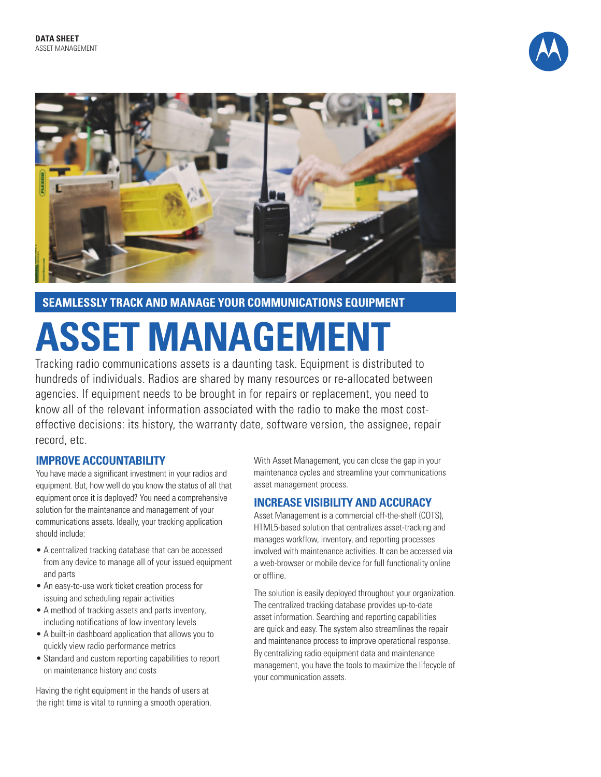



**SEAMLESSLY TRACK AND MANAGE YOUR COMMUNICATIONS EQUIPMENT**

# **ASSET MANAGEMENT**

Tracking radio communications assets is a daunting task. Equipment is distributed to hundreds of individuals. Radios are shared by many resources or re-allocated between agencies. If equipment needs to be brought in for repairs or replacement, you need to know all of the relevant information associated with the radio to make the most costeffective decisions: its history, the warranty date, software version, the assignee, repair record, etc.

### **IMPROVE ACCOUNTABILITY**

You have made a significant investment in your radios and equipment. But, how well do you know the status of all that equipment once it is deployed? You need a comprehensive solution for the maintenance and management of your communications assets. Ideally, your tracking application should include:

- A centralized tracking database that can be accessed from any device to manage all of your issued equipment and parts
- An easy-to-use work ticket creation process for issuing and scheduling repair activities
- A method of tracking assets and parts inventory, including notifications of low inventory levels
- A built-in dashboard application that allows you to quickly view radio performance metrics
- Standard and custom reporting capabilities to report on maintenance history and costs

Having the right equipment in the hands of users at the right time is vital to running a smooth operation. With Asset Management, you can close the gap in your maintenance cycles and streamline your communications asset management process.

### **INCREASE VISIBILITY AND ACCURACY**

Asset Management is a commercial off-the-shelf (COTS), HTML5-based solution that centralizes asset-tracking and manages workflow, inventory, and reporting processes involved with maintenance activities. It can be accessed via a web-browser or mobile device for full functionality online or offline.

The solution is easily deployed throughout your organization. The centralized tracking database provides up-to-date asset information. Searching and reporting capabilities are quick and easy. The system also streamlines the repair and maintenance process to improve operational response. By centralizing radio equipment data and maintenance management, you have the tools to maximize the lifecycle of your communication assets.